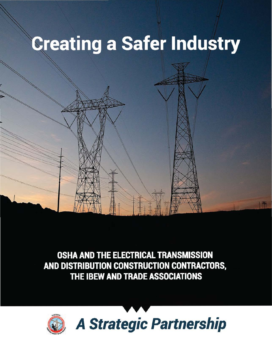# **Creating a Safer Industry**

OSHA AND THE ELECTRICAL TRANSMISSION AND DISTRIBUTION CONSTRUCTION CONTRACTORS, THE IBEW AND TRADE ASSOCIATIONS

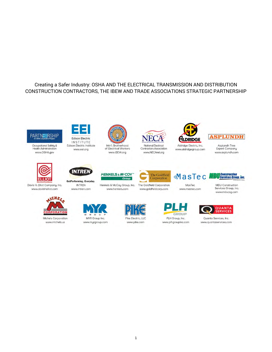#### Creating a Safer Industry: OSHA AND THE ELECTRICAL TRANSMISSION AND DISTRIBUTION CONSTRUCTION CONTRACTORS, THE IBEW AND TRADE ASSOCIATIONS STRATEGIC PARTNERSHIP





Edison Electric Institute www.eel.org

INTRE

**INTRFN** 

www.intren.com



OutPerforming. Everyday. Davis H. Elliot Company, Inc. www.davishelliot.com



Michels Corporation www.michels.us





www.IBEW.org









Aldridge Electric, Inc. www.aldridgegroup.com



Asplundh Tree **Expert Company** www.asplundh.com



The Goldfield Corporation Henkels & McCoy Group, Inc. The Goldfield Corporation

www.goldfieldcorp.com

MasTec www.mastec.com

MasTec

**Sonstruction<br>Sorvices Group, Inc.** 

MDU Construction

Services Group, Inc. www.mducsg.com









www.henkels.com

Pike Electric, LLC www.pike.com



PLH Group, Inc. www.plhgroupinc.com



Quanta Services, Inc. www.quantaservices.com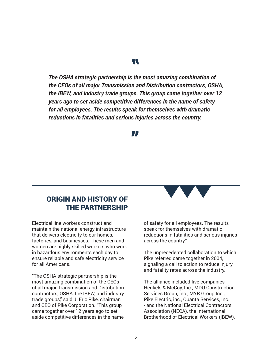*The OSHA strategic partnership is the most amazing combination of the CEOs of all major Transmission and Distribution contractors, OSHA, the IBEW, and industry trade groups. This group came together over 12 years ago to set aside competitive differences in the name of safety for all employees. The results speak for themselves with dramatic reductions in fatalities and serious injuries across the country.* 

"

# ORIGIN AND HISTORY OF THE PARTNERSHIP

Electrical line workers construct and maintain the national energy infrastructure that delivers electricity to our homes, factories, and businesses. These men and women are highly skilled workers who work in hazardous environments each day to ensure reliable and safe electricity service for all Americans.

"The OSHA strategic partnership is the most amazing combination of the CEOs of all major Transmission and Distribution contractors, OSHA, the IBEW, and industry trade groups," said J. Eric Pike, chairman and CEO of Pike Corporation. "This group came together over 12 years ago to set aside competitive differences in the name



of safety for all employees. The results speak for themselves with dramatic reductions in fatalities and serious injuries across the country."

The unprecedented collaboration to which Pike referred came together in 2004, signaling a call to action to reduce injury and fatality rates across the industry.

The alliance included five companies - Henkels & McCoy, Inc., MDU Construction Services Group, Inc., MYR Group Inc., Pike Electric, inc., Quanta Services, Inc. - and the National Electrical Contractors Association (NECA), the International Brotherhood of Electrical Workers (IBEW),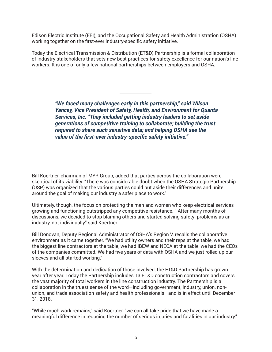Edison Electric Institute (EEI), and the Occupational Safety and Health Administration (OSHA) working together on the first-ever industry-specific safety initiative.

Today the Electrical Transmission & Distribution (ET&D) Partnership is a formal collaboration of industry stakeholders that sets new best practices for safety excellence for our nation's line workers. It is one of only a few national partnerships between employers and OSHA.

> *"We faced many challenges early in this partnership," said Wilson Yancey, Vice President of Safety, Health, and Environment for Quanta Services, Inc. "They included getting industry leaders to set aside generations of competitive training to collaborate; building the trust required to share such sensitive data; and helping OSHA see the value of the first-ever industry-specific safety initiative."*

Bill Koertner, chairman of MYR Group, added that parties across the collaboration were skeptical of its viability. "There was considerable doubt when the OSHA Strategic Partnership (OSP) was organized that the various parties could put aside their differences and unite around the goal of making our industry a safer place to work."

Ultimately, though, the focus on protecting the men and women who keep electrical services growing and functioning outstripped any competitive resistance. " After many months of discussions, we decided to stop blaming others and started solving safety problems as an industry, not individually," said Koertner.

Bill Donovan, Deputy Regional Administrator of OSHA's Region V, recalls the collaborative environment as it came together. "We had utility owners and their reps at the table, we had the biggest line contractors at the table, we had IBEW and NECA at the table, we had the CEOs of the companies committed. We had five years of data with OSHA and we just rolled up our sleeves and all started working."

With the determination and dedication of those involved, the ET&D Partnership has grown year after year. Today the Partnership includes 13 ET&D construction contractors and covers the vast majority of total workers in the line construction industry. The Partnership is a collaboration in the truest sense of the word—including government, industry, union, nonunion, and trade association safety and health professionals—and is in effect until December 31, 2018.

"While much work remains," said Koertner, "we can all take pride that we have made a meaningful difference in reducing the number of serious injuries and fatalities in our industry."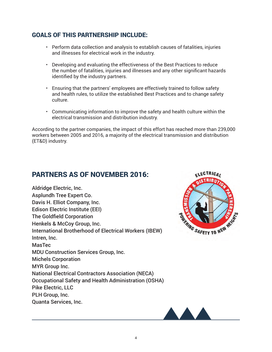## GOALS OF THIS PARTNERSHIP INCLUDE:

- • Perform data collection and analysis to establish causes of fatalities, injuries and illnesses for electrical work in the industry.
- • Developing and evaluating the effectiveness of the Best Practices to reduce the number of fatalities, injuries and illnesses and any other significant hazards identified by the industry partners.
- • Ensuring that the partners' employees are effectively trained to follow safety and health rules, to utilize the established Best Practices and to change safety culture.
- • Communicating information to improve the safety and health culture within the electrical transmission and distribution industry.

According to the partner companies, the impact of this effort has reached more than 239,000 workers between 2005 and 2016, a majority of the electrical transmission and distribution (ET&D) industry.

# PARTNERS AS OF NOVEMBER 2016:

Aldridge Electric, Inc. Asplundh Tree Expert Co. Davis H. Elliot Company, Inc. Edison Electric Institute (EEI) The Goldfield Corporation Henkels & McCoy Group, Inc. International Brotherhood of Electrical Workers (IBEW) Intren, Inc. MasTec MDU Construction Services Group, Inc. Michels Corporation MYR Group Inc. National Electrical Contractors Association (NECA) Occupational Safety and Health Administration (OSHA) Pike Electric, LLC PLH Group, Inc. Quanta Services, Inc.



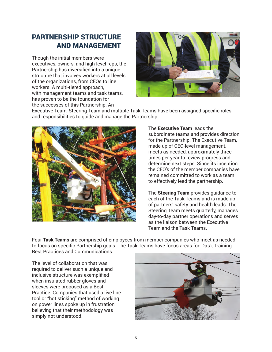# PARTNERSHIP STRUCTURE AND MANAGEMENT

Though the initial members were executives, owners, and high-level reps, the Partnership has diversified into a unique structure that involves workers at all levels of the organizations, from CEOs to line workers. A multi-tiered approach, with management teams and task teams, has proven to be the foundation for the successes of this Partnership. An



Executive Team, Steering Team and multiple Task Teams have been assigned specific roles and responsibilities to guide and manage the Partnership:



The **Executive Team** leads the subordinate teams and provides direction for the Partnership. The Executive Team, made up of CEO-level management, meets as needed, approximately three times per year to review progress and determine next steps. Since its inception the CEO's of the member companies have remained committed to work as a team to effectively lead the partnership.

The **Steering Team** provides guidance to each of the Task Teams and is made up of partners' safety and health leads. The Steering Team meets quarterly, manages day-to-day partner operations and serves as the liaison between the Executive Team and the Task Teams.

Four **Task Teams** are comprised of employees from member companies who meet as needed to focus on specific Partnership goals. The Task Teams have focus areas for: Data, Training, Best Practices and Communications.

The level of collaboration that was required to deliver such a unique and inclusive structure was exemplified when insulated rubber gloves and sleeves were proposed as a Best Practice. Companies that used a live line tool or "hot sticking" method of working on power lines spoke up in frustration, believing that their methodology was simply not understood.

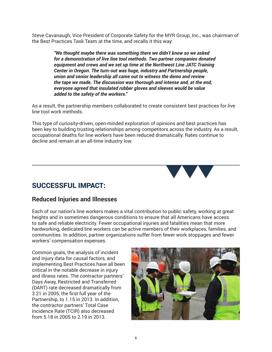Steve Cavanaugh, Vice President of Corporate Safety for the MYR Group, Inc., was chairman of the Best Practices Task Team at the time, and recalls it this way:

> *"We thought maybe there was something there we didn't know so we asked for a demonstration of live line tool methods. Two partner companies donated equipment and crews and we set up time at the Northwest Line JATC Training Center in Oregon. The turn-out was huge, industry and Partnership people, union and senior leadership all came out to witness the demo and review the tape we made. The discussion was thorough and intense and, at the end, everyone agreed that insulated rubber gloves and sleeves would be value added to the safety of the workers."*

As a result, the partnership members collaborated to create consistent best practices for live line tool work methods.

This type of curiosity-driven, open-minded exploration of opinions and best practices has been key to building trusting relationships among competitors across the industry. As a result, occupational deaths for line workers have been reduced dramatically. Rates continue to decline and remain at an all-time industry low.



# SUCCESSFUL IMPACT:

## **Reduced Injuries and Illnesses**

Each of our nation's line workers makes a vital contribution to public safety, working at great heights and in sometimes dangerous conditions to ensure that all Americans have access to safe and reliable electricity. Fewer occupational injuries and fatalities mean that more hardworking, dedicated line workers can be active members of their workplaces, families, and communities. In addition, partner organizations suffer from fewer work stoppages and fewer workers' compensation expenses.

Common goals, the analysis of incident and injury data for causal factors, and implementing Best Practices have all been critical in the notable decrease in injury and illness rates. The contractor partners' Days Away, Restricted and Transferred (DART) rate decreased dramatically from 3.21 in 2005, the first full year of the Partnership, to 1.15 in 2013. In addition, the contractor partners' Total Case Incidence Rate (TCIR) also decreased from 5.18 in 2005 to 2.19 in 2013.

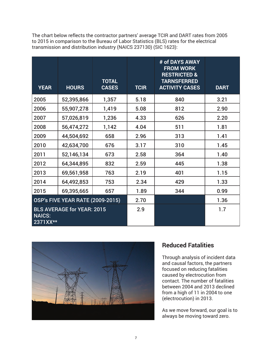| The chart below reflects the contractor partners' average TCIR and DART rates from 2005 |
|-----------------------------------------------------------------------------------------|
| to 2015 in comparison to the Bureau of Labor Statistics (BLS) rates for the electrical  |
| transmission and distribution industry (NAICS 237130) (SIC 1623):                       |

| <b>YEAR</b>                                                    | <b>HOURS</b> | <b>TOTAL</b><br><b>CASES</b> | <b>TCIR</b> | # of DAYS AWAY<br><b>FROM WORK</b><br><b>RESTRICTED &amp;</b><br><b>TARNSFERRED</b><br><b>ACTIVITY CASES</b> | <b>DART</b> |
|----------------------------------------------------------------|--------------|------------------------------|-------------|--------------------------------------------------------------------------------------------------------------|-------------|
| 2005                                                           | 52,395,866   | 1,357                        | 5.18        | 840                                                                                                          | 3.21        |
| 2006                                                           | 55,907,278   | 1,419                        | 5.08        | 812                                                                                                          | 2.90        |
| 2007                                                           | 57,026,819   | 1,236                        | 4.33        | 626                                                                                                          | 2.20        |
| 2008                                                           | 56,474,272   | 1,142                        | 4.04        | 511                                                                                                          | 1.81        |
| 2009                                                           | 44,504,692   | 658                          | 2.96        | 313                                                                                                          | 1.41        |
| 2010                                                           | 42,634,700   | 676                          | 3.17        | 310                                                                                                          | 1.45        |
| 2011                                                           | 52,146,134   | 673                          | 2.58        | 364                                                                                                          | 1.40        |
| 2012                                                           | 64,344,895   | 832                          | 2.59        | 445                                                                                                          | 1.38        |
| 2013                                                           | 69,561,958   | 763                          | 2.19        | 401                                                                                                          | 1.15        |
| 2014                                                           | 64,492,853   | 753                          | 2.34        | 429                                                                                                          | 1.33        |
| 2015                                                           | 69,395,665   | 657                          | 1.89        | 344                                                                                                          | 0.99        |
| <b>OSP's FIVE YEAR RATE (2009-2015)</b>                        |              | 2.70                         |             | 1.36                                                                                                         |             |
| <b>BLS AVERAGE for YEAR: 2015</b><br><b>NAICS:</b><br>2371XX** |              | 2.9                          |             | 1.7                                                                                                          |             |



# **Reduced Fatalities**

Through analysis of incident data and causal factors, the partners focused on reducing fatalities caused by electrocution from contact. The number of fatalities between 2004 and 2013 declined from a high of 11 in 2004 to one (electrocution) in 2013.

As we move forward, our goal is to always be moving toward zero.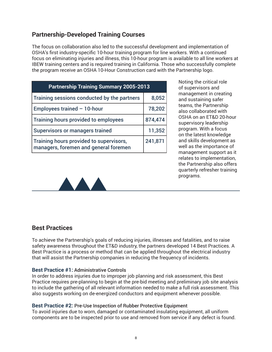## **Partnership-Developed Training Courses**

The focus on collaboration also led to the successful development and implementation of OSHA's first industry-specific 10-hour training program for line workers. With a continued focus on eliminating injuries and illness, this 10-hour program is available to all line workers at IBEW training centers and is required training in California. Those who successfully complete the program receive an OSHA 10-Hour Construction card with the Partnership logo.

| <b>Partnership Training Summary 2005-2013</b>                                    |         |  |  |  |
|----------------------------------------------------------------------------------|---------|--|--|--|
| Training sessions conducted by the partners                                      | 8,052   |  |  |  |
| Employees trained $-10$ -hour                                                    | 78,202  |  |  |  |
| Training hours provided to employees                                             | 874,474 |  |  |  |
| <b>Supervisors or managers trained</b>                                           | 11,352  |  |  |  |
| Training hours provided to supervisors,<br>managers, foremen and general foremen | 241,871 |  |  |  |

Noting the critical role of supervisors and management in creating and sustaining safer teams, the Partnership also collaborated with OSHA on an ET&D 20-hour supervisory leadership program. With a focus on the latest knowledge and skills development as well as the importance of management support as it relates to implementation, the Partnership also offers quarterly refresher training programs.



## **Best Practices**

To achieve the Partnership's goals of reducing injuries, illnesses and fatalities, and to raise safety awareness throughout the ET&D industry, the partners developed 14 Best Practices. A Best Practice is a process or method that can be applied throughout the electrical industry that will assist the Partnership companies in reducing the frequency of incidents.

#### **Best Practice #1:** Administrative Controls

In order to address injuries due to improper job planning and risk assessment, this Best Practice requires pre-planning to begin at the pre-bid meeting and preliminary job site analysis to include the gathering of all relevant information needed to make a full risk assessment. This also suggests working on de-energized conductors and equipment whenever possible.

#### **Best Practice #2:** Pre-Use Inspection of Rubber Protective Equipment

To avoid injuries due to worn, damaged or contaminated insulating equipment, all uniform components are to be inspected prior to use and removed from service if any defect is found.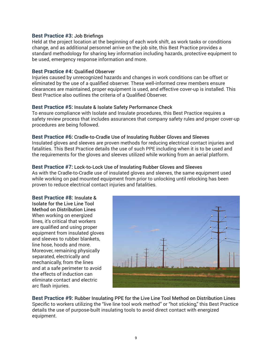#### **Best Practice #3:** Job Briefings

Held at the project location at the beginning of each work shift, as work tasks or conditions change, and as additional personnel arrive on the job site, this Best Practice provides a standard methodology for sharing key information including hazards, protective equipment to be used, emergency response information and more.

#### **Best Practice #4:** Qualified Observer

Injuries caused by unrecognized hazards and changes in work conditions can be offset or eliminated by the use of a qualified observer. These well-informed crew members ensure clearances are maintained, proper equipment is used, and effective cover-up is installed. This Best Practice also outlines the criteria of a Qualified Observer.

#### **Best Practice #5:** Insulate & Isolate Safety Performance Check

To ensure compliance with Isolate and Insulate procedures, this Best Practice requires a safety review process that includes assurances that company safety rules and proper cover-up procedures are being followed.

#### **Best Practice #6:** Cradle-to-Cradle Use of Insulating Rubber Gloves and Sleeves

Insulated gloves and sleeves are proven methods for reducing electrical contact injuries and fatalities. This Best Practice details the use of such PPE including when it is to be used and the requirements for the gloves and sleeves utilized while working from an aerial platform.

#### **Best Practice #7:** Lock-to-Lock Use of Insulating Rubber Gloves and Sleeves

As with the Cradle-to-Cradle use of insulated gloves and sleeves, the same equipment used while working on pad mounted equipment from prior to unlocking until relocking has been proven to reduce electrical contact injuries and fatalities.

**Best Practice #8:** Insulate & Isolate for the Live Line Tool Method on Distribution Lines When working on energized lines, it's critical that workers are qualified and using proper equipment from insulated gloves and sleeves to rubber blankets, line hose, hoods and more. Moreover, remaining physically separated, electrically and mechanically, from the lines and at a safe perimeter to avoid the effects of induction can eliminate contact and electric arc flash injuries.



**Best Practice #9:** Rubber Insulating PPE for the Live Line Tool Method on Distribution Lines Specific to workers utilizing the "live line tool work method" or "hot sticking," this Best Practice details the use of purpose-built insulating tools to avoid direct contact with energized equipment.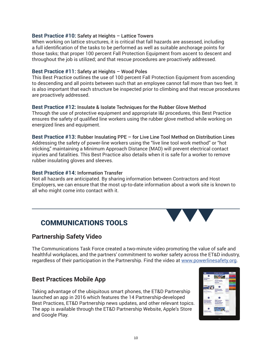#### **Best Practice #10:** Safety at Heights – Lattice Towers

When working on lattice structures, it is critical that fall hazards are assessed, including a full identification of the tasks to be performed as well as suitable anchorage points for those tasks; that proper 100 percent Fall Protection Equipment from ascent to descent and throughout the job is utilized; and that rescue procedures are proactively addressed.

#### **Best Practice #11:** Safety at Heights – Wood Poles

This Best Practice outlines the use of 100 percent Fall Protection Equipment from ascending to descending and all points between such that an employee cannot fall more than two feet. It is also important that each structure be inspected prior to climbing and that rescue procedures are proactively addressed.

# **Best Practice #12:** Insulate & Isolate Techniques for the Rubber Glove Method

Through the use of protective equipment and appropriate I&I procedures, this Best Practice ensures the safety of qualified line workers using the rubber glove method while working on energized lines and equipment.

**Best Practice #13:** Rubber Insulating PPE – for Live Line Tool Method on Distribution Lines Addressing the safety of power-line workers using the "live line tool work method" or "hot sticking," maintaining a Minimum Approach Distance (MAD) will prevent electrical contact injuries and fatalities. This Best Practice also details when it is safe for a worker to remove rubber insulating gloves and sleeves.

#### **Best Practice #14:** Information Transfer

Not all hazards are anticipated. By sharing information between Contractors and Host Employers, we can ensure that the most up-to-date information about a work site is known to all who might come into contact with it.

# COMMUNICATIONS TOOLS

## **Partnership Safety Video**

The Communications Task Force created a two-minute video promoting the value of safe and healthful workplaces, and the partners' commitment to worker safety across the ET&D industry, regardless of their participation in the Partnership. Find the video at www.powerlinesafety.org.

## **Best Practices Mobile App**

Taking advantage of the ubiquitous smart phones, the ET&D Partnership launched an app in 2016 which features the 14 Partnership-developed Best Practices, ET&D Partnership news updates, and other relevant topics. The app is available through the ET&D Partnership Website, Apple's Store and Google Play.

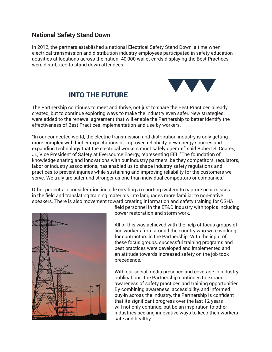## **National Safety Stand Down**

In 2012, the partners established a national Electrical Safety Stand Down, a time when electrical transmission and distribution industry employees participated in safety education activities at locations across the nation. 40,000 wallet cards displaying the Best Practices were distributed to stand down attendees.



# INTO THE FUTURE

The Partnership continues to meet and thrive, not just to share the Best Practices already created, but to continue exploring ways to make the industry even safer. New strategies were added to the renewal agreement that will enable the Partnership to better identify the effectiveness of Best Practices implementation and use by workers.

"In our connected world, the electric transmission and distribution industry is only getting more complex with higher expectations of improved reliability, new energy sources and expanding technology that the electrical workers must safely operate," said Robert S. Coates, Jr., Vice President of Safety at Eversource Energy, representing EEI. "The foundation of knowledge sharing and innovations with our industry partners, be they competitors, regulators, labor or industry associations, has enabled us to shape industry safety regulations and practices to prevent injuries while sustaining and improving reliability for the customers we serve. We truly are safer and stronger as one than individual competitors or companies."

Other projects in consideration include creating a reporting system to capture near misses in the field and translating training materials into languages more familiar to non-native speakers. There is also movement toward creating information and safety training for OSHA



field personnel in the ET&D industry with topics including power restoration and storm work.

All of this was achieved with the help of focus groups of line workers from around the country who were working for contractors in the Partnership. With the input of these focus groups, successful training programs and best practices were developed and implemented and an attitude towards increased safety on the job took precedence.

With our social media presence and coverage in industry publications, the Partnership continues to expand awareness of safety practices and training opportunities. By combining awareness, accessibility, and informed buy-in across the industry, the Partnership is confident that its significant progress over the last 12 years will not only continue, but be an inspiration to other industries seeking innovative ways to keep their workers safe and healthy.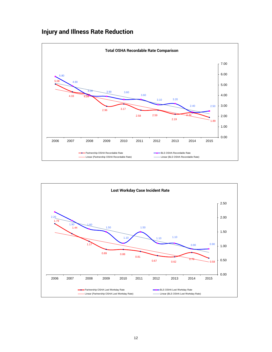# **Injury and Illness Rate Reduction**